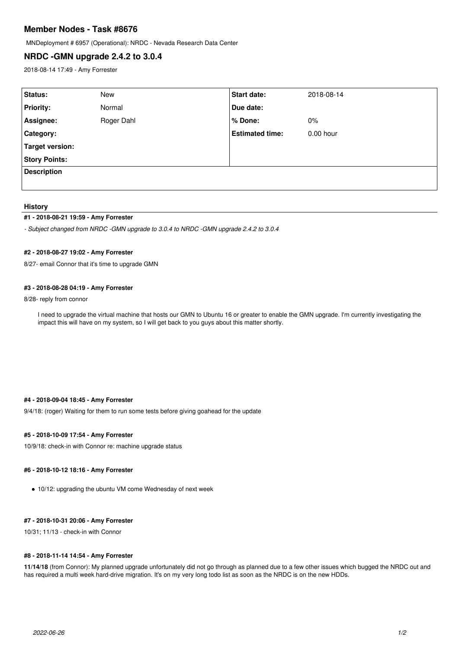# **Member Nodes - Task #8676**

MNDeployment # 6957 (Operational): NRDC - Nevada Research Data Center

## **NRDC -GMN upgrade 2.4.2 to 3.0.4**

2018-08-14 17:49 - Amy Forrester

| Status:              | New        | <b>Start date:</b>     | 2018-08-14  |
|----------------------|------------|------------------------|-------------|
| <b>Priority:</b>     | Normal     | Due date:              |             |
| Assignee:            | Roger Dahl | % Done:                | $0\%$       |
| Category:            |            | <b>Estimated time:</b> | $0.00$ hour |
| Target version:      |            |                        |             |
| <b>Story Points:</b> |            |                        |             |
| <b>Description</b>   |            |                        |             |
|                      |            |                        |             |

#### **History**

## **#1 - 2018-08-21 19:59 - Amy Forrester**

*- Subject changed from NRDC -GMN upgrade to 3.0.4 to NRDC -GMN upgrade 2.4.2 to 3.0.4*

### **#2 - 2018-08-27 19:02 - Amy Forrester**

8/27- email Connor that it's time to upgrade GMN

#### **#3 - 2018-08-28 04:19 - Amy Forrester**

8/28- reply from connor

I need to upgrade the virtual machine that hosts our GMN to Ubuntu 16 or greater to enable the GMN upgrade. I'm currently investigating the impact this will have on my system, so I will get back to you guys about this matter shortly.

## **#4 - 2018-09-04 18:45 - Amy Forrester**

9/4/18: (roger) Waiting for them to run some tests before giving goahead for the update

#### **#5 - 2018-10-09 17:54 - Amy Forrester**

10/9/18: check-in with Connor re: machine upgrade status

### **#6 - 2018-10-12 18:16 - Amy Forrester**

10/12: upgrading the ubuntu VM come Wednesday of next week

## **#7 - 2018-10-31 20:06 - Amy Forrester**

10/31; 11/13 - check-in with Connor

#### **#8 - 2018-11-14 14:54 - Amy Forrester**

**11/14/18** (from Connor): My planned upgrade unfortunately did not go through as planned due to a few other issues which bugged the NRDC out and has required a multi week hard-drive migration. It's on my very long todo list as soon as the NRDC is on the new HDDs.